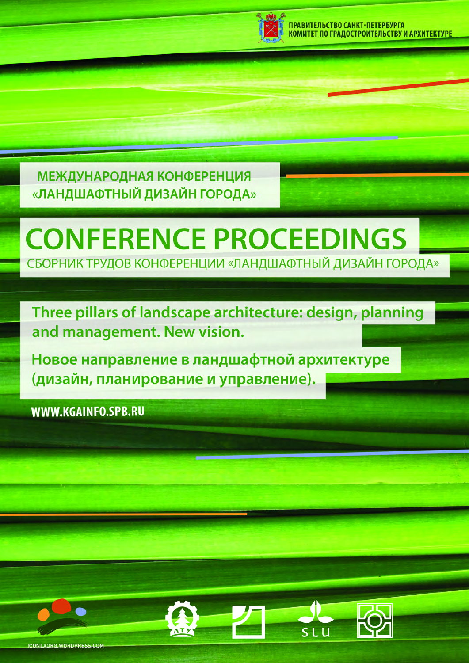

**МЕЖДУНАРОДНАЯ КОНФЕРЕНЦИЯ** «ЛАНДШАФТНЫЙ ДИЗАЙН ГОРОДА»

# **CONFERENCE PROCEEDINGS** СБОРНИК ТРУДОВ КОНФЕРЕНЦИИ «ЛАНДШАФТНЫЙ ДИЗАЙН ГОРОДА»

Three pillars of landscape architecture: design, planning and management. New vision.

Новое направление в ландшафтной архитектуре (дизайн, планирование и управление).

WWW.KGAINFO.SPB.RU

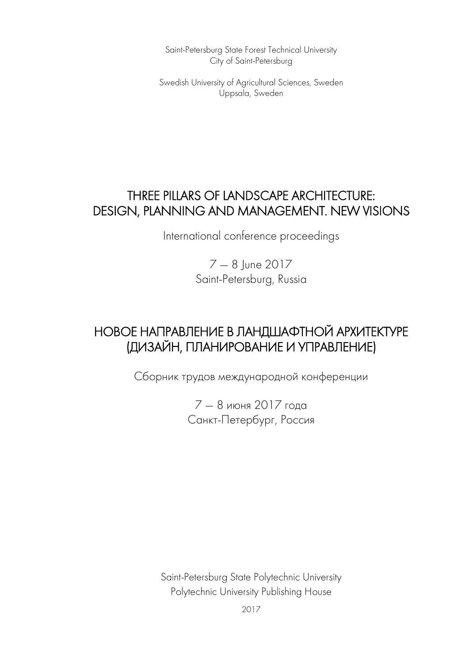Saint-Petersburg State Forest Technical University City of Saint-Petersburg

Swedish University of Agricultural Sciences, Sweden Uppsala, Sweden

## THREE PILLARS OF LANDSCAPE ARCHITECTURE: DESIGN, PLANNING AND MANAGEMENT. NEW VISIONS

International conference proceedings

7 — 8 June 2017 Saint-Petersburg, Russia

## НОВОЕ НАПРАВЛЕНИЕ В ЛАНДШАФТНОЙ АРХИТЕКТУРЕ (ДИЗАЙН, ПЛАНИРОВАНИЕ И УПРАВЛЕНИЕ)

Сборник трудов международной конференции

 $7 - 8$  июня 2017 года Санкт-Петербург, Россия

Saint-Petersburg State Polytechnic University Polytechnic University Publishing House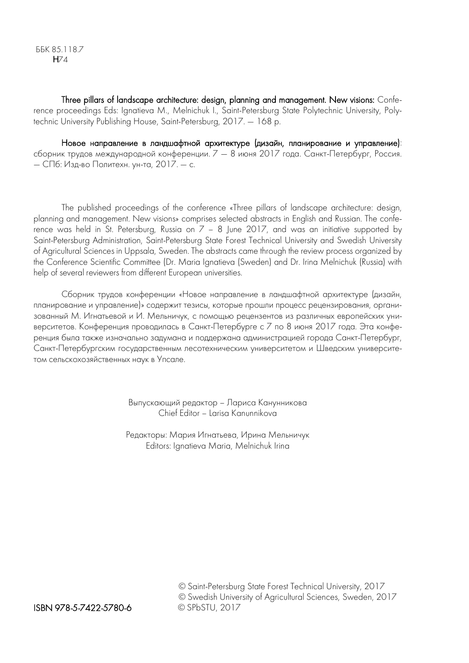ББК 85.118.7 H74

Three pillars of landscape architecture: design, planning and management. New visions: Conference proceedings Eds: Ignatieva M., Melnichuk I., Saint-Petersburg State Polytechnic University, Polytechnic University Publishing House, Saint-Petersburg, 2017. — 168 p.

Новое направление в ландшафтной архитектуре (дизайн, планирование и управление): сборник трудов международной конференции  $7 - 8$  июня 2017 года. Санкт-Петербург, Россия. — СПб: Изд-во Политехн. ун-та, 2017. — с.

The published proceedings of the conference «Three pillars of landscape architecture: design, planning and management. New visions» comprises selected abstracts in English and Russian. The conference was held in St. Petersburg, Russia on  $7 - 8$  June 2017, and was an initiative supported by Saint-Petersburg Administration, Saint-Petersburg State Forest Technical University and Swedish University of Agricultural Sciences in Uppsala, Sweden. The abstracts came through the review process organized by the Conference Scientific Committee (Dr. Maria Ignatieva (Sweden) and Dr. Irina Melnichuk (Russia) with help of several reviewers from different European universities.

Сборник трудов конференции «Новое направление в ландшафтной архитектуре (дизайн, планирование и управление)» содержит тезисы, которые прошли процесс рецензирования, организованный М. Игнатьевой и И. Мельничук, с помощью рецензентов из различных европейских университетов. Конференция проводилась в Санкт-Петербурге с 7 по 8 июня 2017 года. Эта конференция была также изначально задумана и поддержана администрацией города Санкт-Петербург, Санкт-Петербургским государственным лесотехническим университетом и Шведским университетом сельскохозяйственных наук в Упсале.

> Выпускающий редактор – Лариса Канунникова Chief Editor – Larisa Kanunnikova

Редакторы: Мария Игнатьева, Ирина Мельничук Editors: Ignatieva Maria, Melnichuk Irina

> © Saint-Petersburg State Forest Technical University, 2017 © Swedish University of Agricultural Sciences, Sweden, 2017

ISBN 978-5-7422-5780-6 © SPbSTU, 2017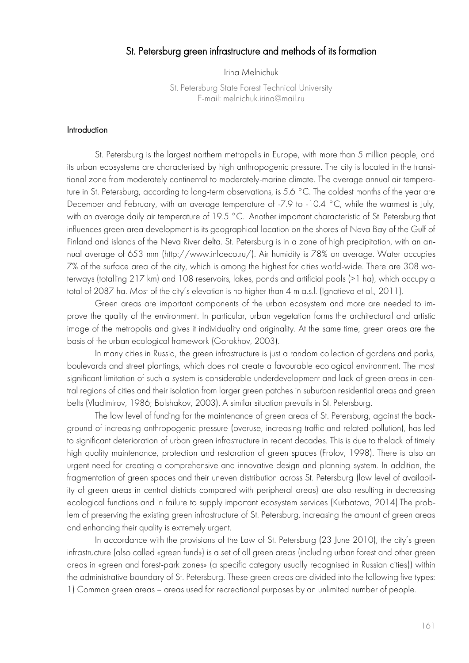### St. Petersburg green infrastructure and methods of its formation

Irina Melnichuk

St. Petersburg State Forest Technical University E-mail: melnichuk.irina@mail.ru

#### Introduction

St. Petersburg is the largest northern metropolis in Europe, with more than 5 million people, and its urban ecosystems are characterised by high anthropogenic pressure. The city is located in the transitional zone from moderately continental to moderately-marine climate. The average annual air temperature in St. Petersburg, according to long-term observations, is 5.6 °C. The coldest months of the year are December and February, with an average temperature of -7.9 to -10.4 °C, while the warmest is July, with an average daily air temperature of 19.5 °C. Another important characteristic of St. Petersburg that influences green area development is its geographical location on the shores of Neva Bay of the Gulf of Finland and islands of the Neva River delta. St. Petersburg is in a zone of high precipitation, with an annual average of 653 mm (http://www.infoeco.ru/). Air humidity is 78% on average. Water occupies 7% of the surface area of the city, which is among the highest for cities world-wide. There are 308 waterways (totalling 217 km) and 108 reservoirs, lakes, ponds and artificial pools (>1 ha), which occupy a total of 2087 ha. Most of the city's elevation is no higher than 4 m a.s.l. (Ignatieva et al., 2011).

Green areas are important components of the urban ecosystem and more are needed to improve the quality of the environment. In particular, urban vegetation forms the architectural and artistic image of the metropolis and gives it individuality and originality. At the same time, green areas are the basis of the urban ecological framework (Gorokhov, 2003).

In many cities in Russia, the green infrastructure is just a random collection of gardens and parks, boulevards and street plantings, which does not create a favourable ecological environment. The most significant limitation of such a system is considerable underdevelopment and lack of green areas in central regions of cities and their isolation from larger green patches in suburban residential areas and green belts (Vladimirov, 1986; Bolshakov, 2003). A similar situation prevails in St. Petersburg.

The low level of funding for the maintenance of green areas of St. Petersburg, against the background of increasing anthropogenic pressure (overuse, increasing traffic and related pollution), has led to significant deterioration of urban green infrastructure in recent decades. This is due to thelack of timely high quality maintenance, protection and restoration of green spaces (Frolov, 1998). There is also an urgent need for creating a comprehensive and innovative design and planning system. In addition, the fragmentation of green spaces and their uneven distribution across St. Petersburg (low level of availability of green areas in central districts compared with peripheral areas) are also resulting in decreasing ecological functions and in failure to supply important ecosystem services (Kurbatova, 2014).The problem of preserving the existing green infrastructure of St. Petersburg, increasing the amount of green areas and enhancing their quality is extremely urgent.

In accordance with the provisions of the Law of St. Petersburg (23 June 2010), the city's green infrastructure (also called «green fund») is a set of all green areas (including urban forest and other green areas in «green and forest-park zones» (a specific category usually recognised in Russian cities)) within the administrative boundary of St. Petersburg. These green areas are divided into the following five types: 1) Common green areas – areas used for recreational purposes by an unlimited number of people.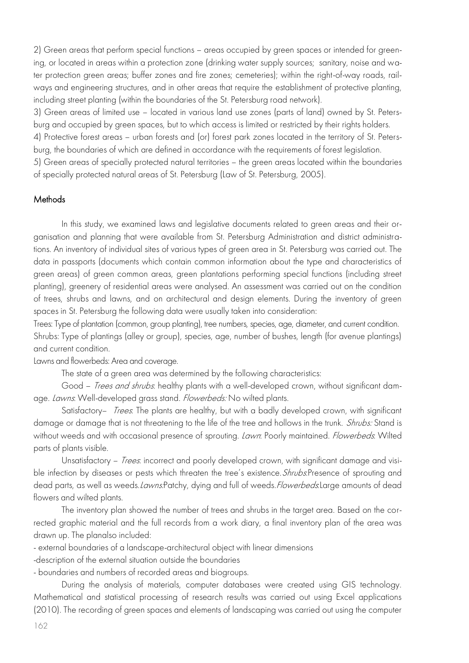2) Green areas that perform special functions – areas occupied by green spaces or intended for greening, or located in areas within a protection zone (drinking water supply sources; sanitary, noise and water protection green areas; buffer zones and fire zones; cemeteries); within the right-of-way roads, railways and engineering structures, and in other areas that require the establishment of protective planting, including street planting (within the boundaries of the St. Petersburg road network).

3) Green areas of limited use – located in various land use zones (parts of land) owned by St. Petersburg and occupied by green spaces, but to which access is limited or restricted by their rights holders.

4) Protective forest areas – urban forests and (or) forest park zones located in the territory of St. Petersburg, the boundaries of which are defined in accordance with the requirements of forest legislation.

5) Green areas of specially protected natural territories – the green areas located within the boundaries of specially protected natural areas of St. Petersburg (Law of St. Petersburg, 2005).

#### **Methods**

In this study, we examined laws and legislative documents related to green areas and their organisation and planning that were available from St. Petersburg Administration and district administrations. An inventory of individual sites of various types of green area in St. Petersburg was carried out. The data in passports (documents which contain common information about the type and characteristics of green areas) of green common areas, green plantations performing special functions (including street planting), greenery of residential areas were analysed. An assessment was carried out on the condition of trees, shrubs and lawns, and on architectural and design elements. During the inventory of green spaces in St. Petersburg the following data were usually taken into consideration:

Trees: Type of plantation (common, group planting), tree numbers, species, age, diameter, and current condition. Shrubs: Type of plantings (alley or group), species, age, number of bushes, length (for avenue plantings) and current condition.

Lawns and flowerbeds: Area and coverage.

The state of a green area was determined by the following characteristics:

Good – Trees and shrubs: healthy plants with a well-developed crown, without significant damage. Lawns: Well-developed grass stand. Flowerbeds: No wilted plants.

Satisfactory- *Trees*. The plants are healthy, but with a badly developed crown, with significant damage or damage that is not threatening to the life of the tree and hollows in the trunk. Shrubs: Stand is without weeds and with occasional presence of sprouting. Lawn: Poorly maintained. Flowerbeds: Wilted parts of plants visible.

Unsatisfactory – *Trees*: incorrect and poorly developed crown, with significant damage and visible infection by diseases or pests which threaten the tree's existence.Shrubs:Presence of sprouting and dead parts, as well as weeds. Lawns:Patchy, dying and full of weeds. Flowerbeds:Large amounts of dead flowers and wilted plants.

The inventory plan showed the number of trees and shrubs in the target area. Based on the corrected graphic material and the full records from a work diary, a final inventory plan of the area was drawn up. The planalso included:

- external boundaries of a landscape-architectural object with linear dimensions

-description of the external situation outside the boundaries

- boundaries and numbers of recorded areas and biogroups.

During the analysis of materials, computer databases were created using GIS technology. Mathematical and statistical processing of research results was carried out using Excel applications (2010). The recording of green spaces and elements of landscaping was carried out using the computer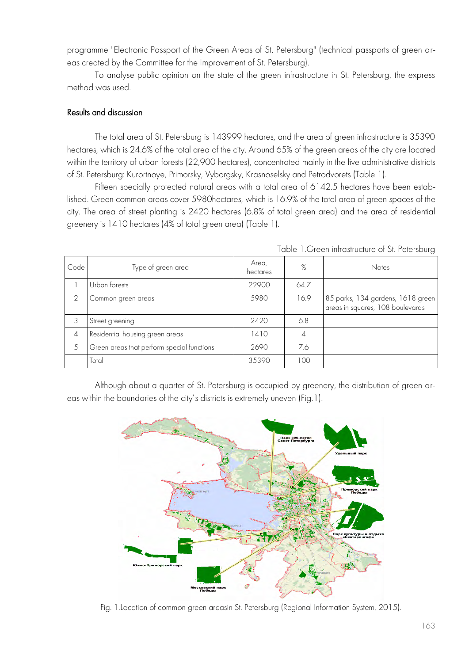programme "Electronic Passport of the Green Areas of St. Petersburg" (technical passports of green areas created by the Committee for the Improvement of St. Petersburg).

To analyse public opinion on the state of the green infrastructure in St. Petersburg, the express method was used.

#### Results and discussion

The total area of St. Petersburg is 143999 hectares, and the area of green infrastructure is 35390 hectares, which is 24.6% of the total area of the city. Around 65% of the green areas of the city are located within the territory of urban forests (22,900 hectares), concentrated mainly in the five administrative districts of St. Petersburg: Kurortnoye, Primorsky, Vyborgsky, Krasnoselsky and Petrodvorets (Table 1).

Fifteen specially protected natural areas with a total area of 6142.5 hectares have been established. Green common areas cover 5980hectares, which is 16.9% of the total area of green spaces of the city. The area of street planting is 2420 hectares (6.8% of total green area) and the area of residential greenery is 1410 hectares (4% of total green area) (Table 1).

| Code          | Type of green area                         | Area,<br>hectares | %    | <b>Notes</b>                                                          |
|---------------|--------------------------------------------|-------------------|------|-----------------------------------------------------------------------|
|               | Urban forests                              | 22900             | 64.7 |                                                                       |
| $\mathcal{P}$ | Common green areas                         | 5980              | 16.9 | 85 parks, 134 gardens, 1618 green<br>areas in squares, 108 boulevards |
| 3             | Street greening                            | 2420              | 6.8  |                                                                       |
| 4             | Residential housing green areas            | 1410              | 4    |                                                                       |
| 5             | Green areas that perform special functions | 2690              | 7.6  |                                                                       |
|               | Total                                      | 35390             | 100  |                                                                       |

Table 1.Green infrastructure of St. Petersburg

Although about a quarter of St. Petersburg is occupied by greenery, the distribution of green areas within the boundaries of the city's districts is extremely uneven (Fig.1).



Fig. 1.Location of common green areasin St. Petersburg (Regional Information System, 2015).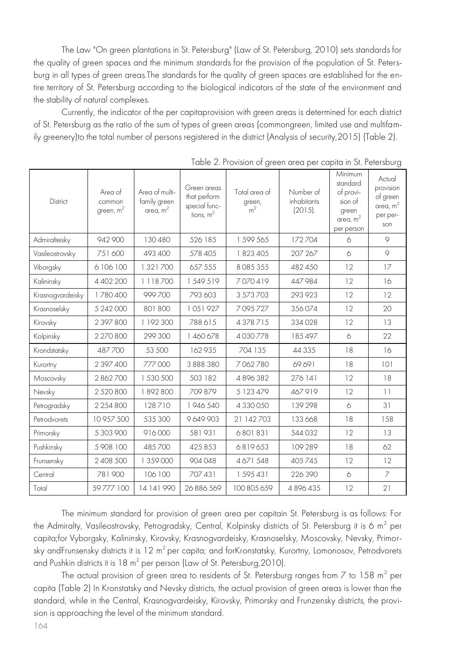The Law "On green plantations in St. Petersburg" (Law of St. Petersburg, 2010) sets standards for the quality of green spaces and the minimum standards for the provision of the population of St. Petersburg in all types of green areas.The standards for the quality of green spaces are established for the entire territory of St. Petersburg according to the biological indicators of the state of the environment and the stability of natural complexes.

Currently, the indicator of the per capitaprovision with green areas is determined for each district of St. Petersburg as the ratio of the sum of types of green areas (commongreen, limited use and multifamily greenery)to the total number of persons registered in the district (Analysis of security,2015) (Table 2).

| District         | Area of<br>common<br>green, $m2$ | Area of multi-<br>family green<br>area, $m2$ | Green areas<br>that perform<br>special func-<br>tions, $m2$ | Total area of<br>green,<br>m <sup>2</sup> | Number of<br>inhabitants<br>(2015). | Minimum<br>standard<br>of provi-<br>sion of<br>green<br>area, $m2$<br>per person | Actual<br>provision<br>of green<br>area, $m2$<br>per per-<br>son |
|------------------|----------------------------------|----------------------------------------------|-------------------------------------------------------------|-------------------------------------------|-------------------------------------|----------------------------------------------------------------------------------|------------------------------------------------------------------|
| Admiralteisky    | 942 900                          | 130 480                                      | 526 185                                                     | 1 599 565                                 | 172704                              | 6                                                                                | $\circ$                                                          |
| Vasileostrovsky  | 751 600                          | 493 400                                      | 578 405                                                     | 1823405                                   | 207 267                             | 6                                                                                | $\circ$                                                          |
| Viborgsky        | 6106100                          | 1 321 700                                    | 657 555                                                     | 8 0 8 5 3 5 5                             | 482 450                             | 12                                                                               | 17                                                               |
| Kalininsky       | 4 402 200                        | 1118700                                      | 1549519                                                     | 7070419                                   | 447 984                             | 12                                                                               | 16                                                               |
| Krasnogvardeisky | 1780400                          | 999700                                       | 793 603                                                     | 3 573 703                                 | 293 923                             | 12                                                                               | 12                                                               |
| Krasnoselsky     | 5 242 000                        | 801 800                                      | 1051927                                                     | 7095727                                   | 356074                              | 12                                                                               | 20                                                               |
| Kirovsky         | 2 397 800                        | 1192300                                      | 788615                                                      | 4378715                                   | 334 028                             | 12                                                                               | 13                                                               |
| Kolpinsky        | 2 270 800                        | 299 300                                      | 1460678                                                     | 4 0 3 0 7 7 8                             | 185 497                             | 6                                                                                | 22                                                               |
| Krondstatsky     | 487700                           | 53 500                                       | 162935                                                      | 704 135                                   | 44 3 3 5                            | 18                                                                               | 16                                                               |
| Kurortny         | 2 397 400                        | 777000                                       | 3 888 380                                                   | 7062780                                   | 69691                               | 18                                                                               | 101                                                              |
| Moscovsky        | 2862700                          | 1 530 500                                    | 503 182                                                     | 4896382                                   | 276 141                             | 12                                                                               | 18                                                               |
| Nevsky           | 2 5 2 0 8 0 0                    | 1892800                                      | 709 879                                                     | 5 1 2 3 4 7 9                             | 467919                              | 12                                                                               | $  \  $                                                          |
| Petrogradsky     | 2 2 5 4 8 0 0                    | 128710                                       | 1946540                                                     | 4 330 050                                 | 139 298                             | 6                                                                                | 31                                                               |
| Petrodvorets     | 10 957 500                       | 535 300                                      | 9649903                                                     | 21 142 703                                | 133 668                             | 18                                                                               | 158                                                              |
| Primorsky        | 5 303 900                        | 916000                                       | 581931                                                      | 6801831                                   | 544 032                             | 12                                                                               | 13                                                               |
| Pushkinsky       | 5908100                          | 485700                                       | 425853                                                      | 6819653                                   | 109 289                             | 18                                                                               | 62                                                               |
| Frunsensky       | 2 408 500                        | 1 359 000                                    | 904 048                                                     | 4671548                                   | 405745                              | 12                                                                               | 12                                                               |
| Central          | 781 900                          | 106 100                                      | 707 431                                                     | 1595431                                   | 226 390                             | 6                                                                                | $\overline{7}$                                                   |
| Total            | 59777100                         | 14 141 990                                   | 26 886 569                                                  | 100 805 659                               | 4896435                             | 12                                                                               | 21                                                               |

Table 2. Provision of green area per capita in St. Petersburg

The minimum standard for provision of green area per capitain St. Petersburg is as follows: For the Admiralty, Vasileostrovsky, Petrogradsky, Central, Kolpinsky districts of St. Petersburg it is 6 m<sup>2</sup> per capita;for Vyborgsky, Kalininsky, Kirovsky, Krasnogvardeisky, Krasnoselsky, Moscovsky, Nevsky, Primorsky andFrunsensky districts it is  $12 \text{ m}^2$  per capita; and forKronstatsky, Kurortny, Lomonosov, Petrodvorets and Pushkin districts it is  $18 \text{ m}^2$  per person (Law of St. Petersburg, 2010).

The actual provision of green area to residents of St. Petersburg ranges from 7 to 158  $m^2$  per capita (Table 2) In Kronstatsky and Nevsky districts, the actual provision of green areas is lower than the standard, while in the Central, Krasnogvardeisky, Kirovsky, Primorsky and Frunzensky districts, the provision is approaching the level of the minimum standard.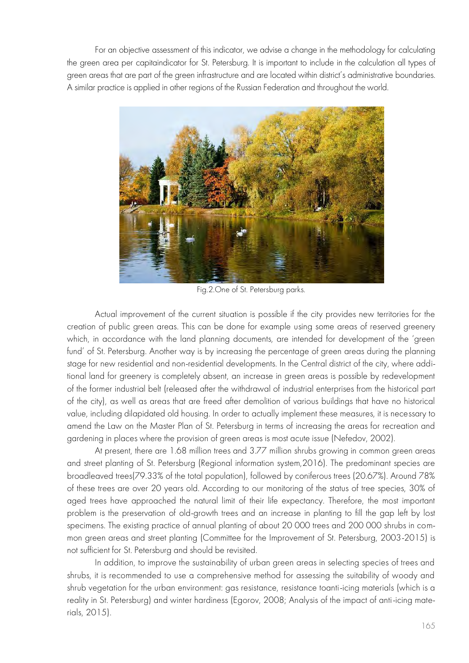For an objective assessment of this indicator, we advise a change in the methodology for calculating the green area per capitaindicator for St. Petersburg. It is important to include in the calculation all types of green areas that are part of the green infrastructure and are located within district's administrative boundaries. A similar practice is applied in other regions of the Russian Federation and throughout the world.



Fig.2.One of St. Petersburg parks.

Actual improvement of the current situation is possible if the city provides new territories for the creation of public green areas. This can be done for example using some areas of reserved greenery which, in accordance with the land planning documents, are intended for development of the 'green fund' of St. Petersburg. Another way is by increasing the percentage of green areas during the planning stage for new residential and non-residential developments. In the Central district of the city, where additional land for greenery is completely absent, an increase in green areas is possible by redevelopment of the former industrial belt (released after the withdrawal of industrial enterprises from the historical part of the city), as well as areas that are freed after demolition of various buildings that have no historical value, including dilapidated old housing. In order to actually implement these measures, it is necessary to amend the Law on the Master Plan of St. Petersburg in terms of increasing the areas for recreation and gardening in places where the provision of green areas is most acute issue (Nefedov, 2002).

At present, there are 1.68 million trees and 3.77 million shrubs growing in common green areas and street planting of St. Petersburg (Regional information system,2016). The predominant species are broadleaved trees(79.33% of the total population), followed by coniferous trees (20.67%). Around 78% of these trees are over 20 years old. According to our monitoring of the status of tree species, 30% of aged trees have approached the natural limit of their life expectancy. Therefore, the most important problem is the preservation of old-growth trees and an increase in planting to fill the gap left by lost specimens. The existing practice of annual planting of about 20 000 trees and 200 000 shrubs in common green areas and street planting (Committee for the Improvement of St. Petersburg, 2003-2015) is not sufficient for St. Petersburg and should be revisited.

In addition, to improve the sustainability of urban green areas in selecting species of trees and shrubs, it is recommended to use a comprehensive method for assessing the suitability of woody and shrub vegetation for the urban environment: gas resistance, resistance toanti-icing materials (which is a reality in St. Petersburg) and winter hardiness (Egorov, 2008; Analysis of the impact of anti-icing materials, 2015).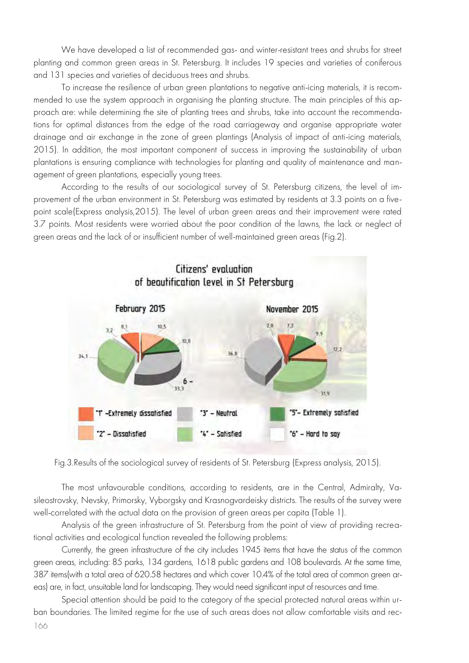We have developed a list of recommended gas- and winter-resistant trees and shrubs for street planting and common green areas in St. Petersburg. It includes 19 species and varieties of coniferous and 131 species and varieties of deciduous trees and shrubs.

To increase the resilience of urban green plantations to negative anti-icing materials, it is recommended to use the system approach in organising the planting structure. The main principles of this approach are: while determining the site of planting trees and shrubs, take into account the recommendations for optimal distances from the edge of the road carriageway and organise appropriate water drainage and air exchange in the zone of green plantings (Analysis of impact of anti-icing materials, 2015). In addition, the most important component of success in improving the sustainability of urban plantations is ensuring compliance with technologies for planting and quality of maintenance and management of green plantations, especially young trees.

According to the results of our sociological survey of St. Petersburg citizens, the level of improvement of the urban environment in St. Petersburg was estimated by residents at 3.3 points on a fivepoint scale(Express analysis,2015). The level of urban green areas and their improvement were rated 3.7 points. Most residents were worried about the poor condition of the lawns, the lack or neglect of green areas and the lack of or insufficient number of well-maintained green areas (Fig.2).



Fig.3.Results of the sociological survey of residents of St. Petersburg (Express analysis, 2015).

The most unfavourable conditions, according to residents, are in the Central, Admiralty, Vasileostrovsky, Nevsky, Primorsky, Vyborgsky and Krasnogvardeisky districts. The results of the survey were well-correlated with the actual data on the provision of green areas per capita (Table 1).

Analysis of the green infrastructure of St. Petersburg from the point of view of providing recreational activities and ecological function revealed the following problems:

Currently, the green infrastructure of the city includes 1945 items that have the status of the common green areas, including: 85 parks, 134 gardens, 1618 public gardens and 108 boulevards. At the same time, 387 items(with a total area of 620.58 hectares and which cover 10.4% of the total area of common green areas) are, in fact, unsuitable land for landscaping. They would need significant input of resources and time.

166 Special attention should be paid to the category of the special protected natural areas within urban boundaries. The limited regime for the use of such areas does not allow comfortable visits and rec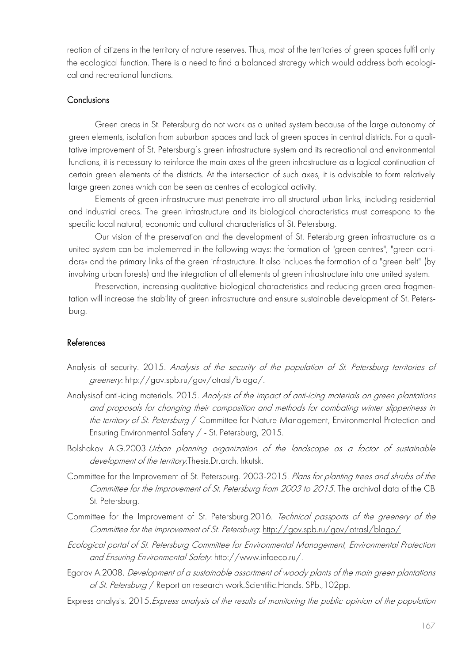reation of citizens in the territory of nature reserves. Thus, most of the territories of green spaces fulfil only the ecological function. There is a need to find a balanced strategy which would address both ecological and recreational functions.

#### **Conclusions**

Green areas in St. Petersburg do not work as a united system because of the large autonomy of green elements, isolation from suburban spaces and lack of green spaces in central districts. For a qualitative improvement of St. Petersburg's green infrastructure system and its recreational and environmental functions, it is necessary to reinforce the main axes of the green infrastructure as a logical continuation of certain green elements of the districts. At the intersection of such axes, it is advisable to form relatively large green zones which can be seen as centres of ecological activity.

Elements of green infrastructure must penetrate into all structural urban links, including residential and industrial areas. The green infrastructure and its biological characteristics must correspond to the specific local natural, economic and cultural characteristics of St. Petersburg.

Our vision of the preservation and the development of St. Petersburg green infrastructure as a united system can be implemented in the following ways: the formation of "green centres", "green corridors» and the primary links of the green infrastructure. It also includes the formation of a "green belt" (by involving urban forests) and the integration of all elements of green infrastructure into one united system.

Preservation, increasing qualitative biological characteristics and reducing green area fragmentation will increase the stability of green infrastructure and ensure sustainable development of St. Petersburg.

#### References

- Analysis of security. 2015. Analysis of the security of the population of St. Petersburg territories of greenery: http://gov.spb.ru/gov/otrasl/blago/.
- Analysisof anti-icing materials. 2015. Analysis of the impact of anti-icing materials on green plantations and proposals for changing their composition and methods for combating winter slipperiness in the territory of St. Petersburg / Committee for Nature Management, Environmental Protection and Ensuring Environmental Safety / - St. Petersburg, 2015.
- Bolshakov A.G.2003.Urban planning organization of the landscape as a factor of sustainable development of the territory. Thesis. Dr. arch. Irkutsk.
- Committee for the Improvement of St. Petersburg. 2003-2015. Plans for planting trees and shrubs of the Committee for the Improvement of St. Petersburg from 2003 to 2015. The archival data of the CB St. Petersburg.
- Committee for the Improvement of St. Petersburg.2016. Technical passports of the greenery of the Committee for the improvement of St. Petersburg: http://gov.spb.ru/gov/otrasl/blago/
- Ecological portal of St. Petersburg Committee for Environmental Management, Environmental Protection and Ensuring Environmental Safety: http://www.infoeco.ru/.
- Egorov A.2008. Development of a sustainable assortment of woody plants of the main green plantations of St. Petersburg / Report on research work.Scientific.Hands. SPb.,102pp.
- Express analysis. 2015.Express analysis of the results of monitoring the public opinion of the population